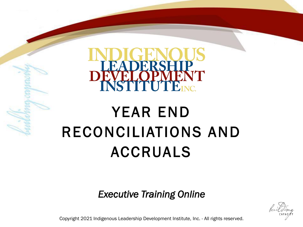# YEAR END RECONCILIATIONS AND ACCRUALS

#### *Executive Training Online*

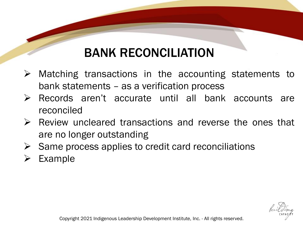### BANK RECONCILIATION

- ➢ Matching transactions in the accounting statements to bank statements – as a verification process
- ➢ Records aren't accurate until all bank accounts are reconciled
- ➢ Review uncleared transactions and reverse the ones that are no longer outstanding
- $\triangleright$  Same process applies to credit card reconciliations
- ➢ Example

624<br>A Ç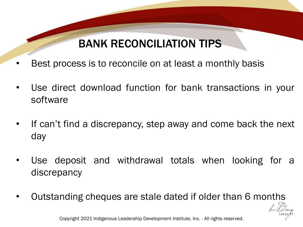#### BANK RECONCILIATION TIPS

- Best process is to reconcile on at least a monthly basis
- Use direct download function for bank transactions in your software
- If can't find a discrepancy, step away and come back the next day
- Use deposit and withdrawal totals when looking for a discrepancy
- Outstanding cheques are stale dated if older than 6 months

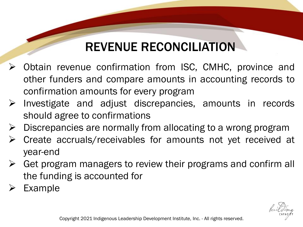## REVENUE RECONCILIATION

- ➢ Obtain revenue confirmation from ISC, CMHC, province and other funders and compare amounts in accounting records to confirmation amounts for every program
- ➢ Investigate and adjust discrepancies, amounts in records should agree to confirmations
- ➢ Discrepancies are normally from allocating to a wrong program
- ➢ Create accruals/receivables for amounts not yet received at year-end
- $\triangleright$  Get program managers to review their programs and confirm all the funding is accounted for
- **Example**

694<br>A Ç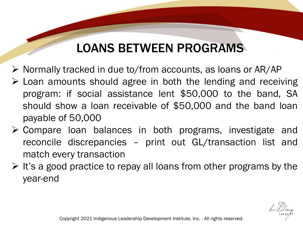#### LOANS BETWEEN PROGRAMS

- ➢ Normally tracked in due to/from accounts, as loans or AR/AP
- $\triangleright$  Loan amounts should agree in both the lending and receiving program: if social assistance lent \$50,000 to the band, SA should show a loan receivable of \$50,000 and the band loan payable of 50,000
- ➢ Compare loan balances in both programs, investigate and reconcile discrepancies – print out GL/transaction list and match every transaction
- $\triangleright$  It's a good practice to repay all loans from other programs by the year-end

674<br>A Ç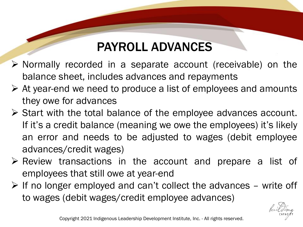#### PAYROLL ADVANCES

- ➢ Normally recorded in a separate account (receivable) on the balance sheet, includes advances and repayments
- ➢ At year-end we need to produce a list of employees and amounts they owe for advances
- ➢ Start with the total balance of the employee advances account. If it's a credit balance (meaning we owe the employees) it's likely an error and needs to be adjusted to wages (debit employee advances/credit wages)
- ➢ Review transactions in the account and prepare a list of employees that still owe at year-end
- $\triangleright$  If no longer employed and can't collect the advances write off to wages (debit wages/credit employee advances)

694<br>A Ç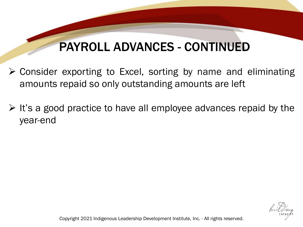### PAYROLL ADVANCES - CONTINUED

- ➢ Consider exporting to Excel, sorting by name and eliminating amounts repaid so only outstanding amounts are left
- $\triangleright$  It's a good practice to have all employee advances repaid by the year-end

674<br>A Ç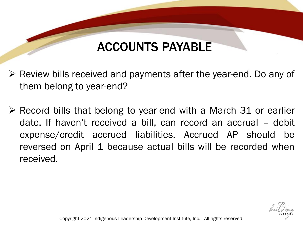#### ACCOUNTS PAYABLE

- ➢ Review bills received and payments after the year-end. Do any of them belong to year-end?
- ➢ Record bills that belong to year-end with a March 31 or earlier date. If haven't received a bill, can record an accrual – debit expense/credit accrued liabilities. Accrued AP should be reversed on April 1 because actual bills will be recorded when received.

694<br>A Ç